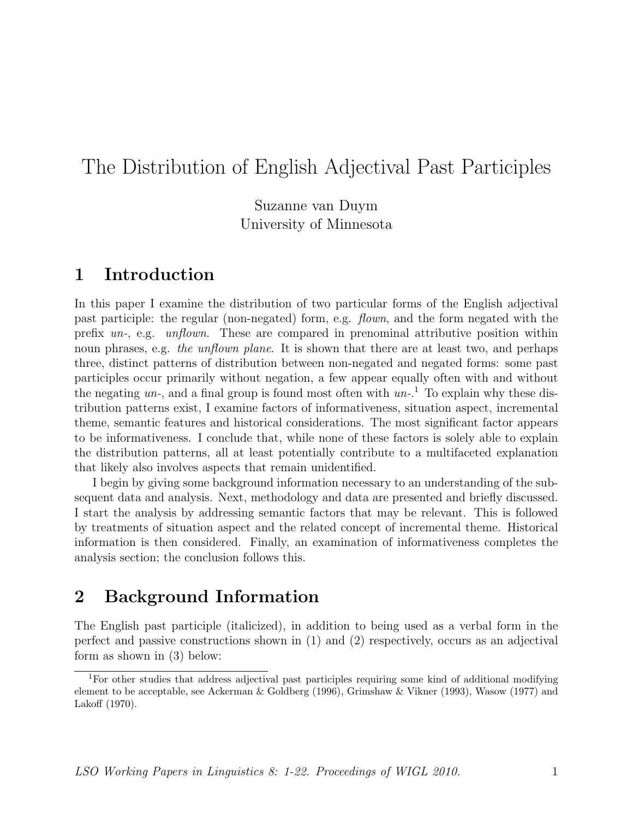Suzanne van Duym University of Minnesota

## 1 Introduction

In this paper I examine the distribution of two particular forms of the English adjectival past participle: the regular (non-negated) form, e.g. flown, and the form negated with the prefix un-, e.g. unflown. These are compared in prenominal attributive position within noun phrases, e.g. the unflown plane. It is shown that there are at least two, and perhaps three, distinct patterns of distribution between non-negated and negated forms: some past participles occur primarily without negation, a few appear equally often with and without the negating  $un$ , and a final group is found most often with  $un$ <sup>1</sup>. To explain why these distribution patterns exist, I examine factors of informativeness, situation aspect, incremental theme, semantic features and historical considerations. The most significant factor appears to be informativeness. I conclude that, while none of these factors is solely able to explain the distribution patterns, all at least potentially contribute to a multifaceted explanation that likely also involves aspects that remain unidentified.

I begin by giving some background information necessary to an understanding of the subsequent data and analysis. Next, methodology and data are presented and briefly discussed. I start the analysis by addressing semantic factors that may be relevant. This is followed by treatments of situation aspect and the related concept of incremental theme. Historical information is then considered. Finally, an examination of informativeness completes the analysis section; the conclusion follows this.

## 2 Background Information

The English past participle (italicized), in addition to being used as a verbal form in the perfect and passive constructions shown in (1) and (2) respectively, occurs as an adjectival form as shown in (3) below:

<sup>1</sup>For other studies that address adjectival past participles requiring some kind of additional modifying element to be acceptable, see Ackerman & Goldberg (1996), Grimshaw & Vikner (1993), Wasow (1977) and Lakoff (1970).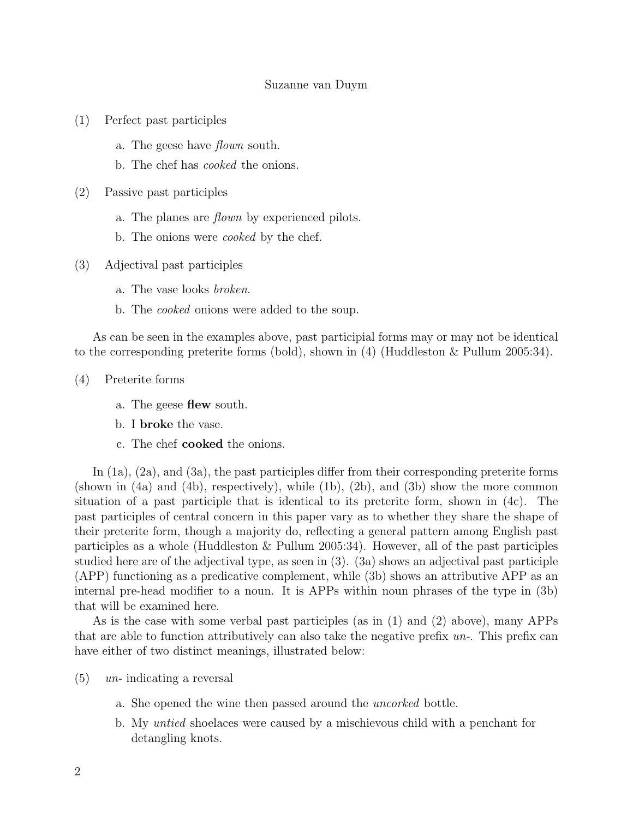- (1) Perfect past participles
	- a. The geese have flown south.
	- b. The chef has cooked the onions.
- (2) Passive past participles
	- a. The planes are flown by experienced pilots.
	- b. The onions were cooked by the chef.
- (3) Adjectival past participles
	- a. The vase looks broken.
	- b. The cooked onions were added to the soup.

As can be seen in the examples above, past participial forms may or may not be identical to the corresponding preterite forms (bold), shown in (4) (Huddleston & Pullum 2005:34).

(4) Preterite forms

- a. The geese flew south.
- b. I broke the vase.
- c. The chef cooked the onions.

In (1a), (2a), and (3a), the past participles differ from their corresponding preterite forms (shown in (4a) and (4b), respectively), while (1b), (2b), and (3b) show the more common situation of a past participle that is identical to its preterite form, shown in (4c). The past participles of central concern in this paper vary as to whether they share the shape of their preterite form, though a majority do, reflecting a general pattern among English past participles as a whole (Huddleston & Pullum 2005:34). However, all of the past participles studied here are of the adjectival type, as seen in (3). (3a) shows an adjectival past participle (APP) functioning as a predicative complement, while (3b) shows an attributive APP as an internal pre-head modifier to a noun. It is APPs within noun phrases of the type in (3b) that will be examined here.

As is the case with some verbal past participles (as in (1) and (2) above), many APPs that are able to function attributively can also take the negative prefix un-. This prefix can have either of two distinct meanings, illustrated below:

- $(5)$  un-indicating a reversal
	- a. She opened the wine then passed around the *uncorked* bottle.
	- b. My untied shoelaces were caused by a mischievous child with a penchant for detangling knots.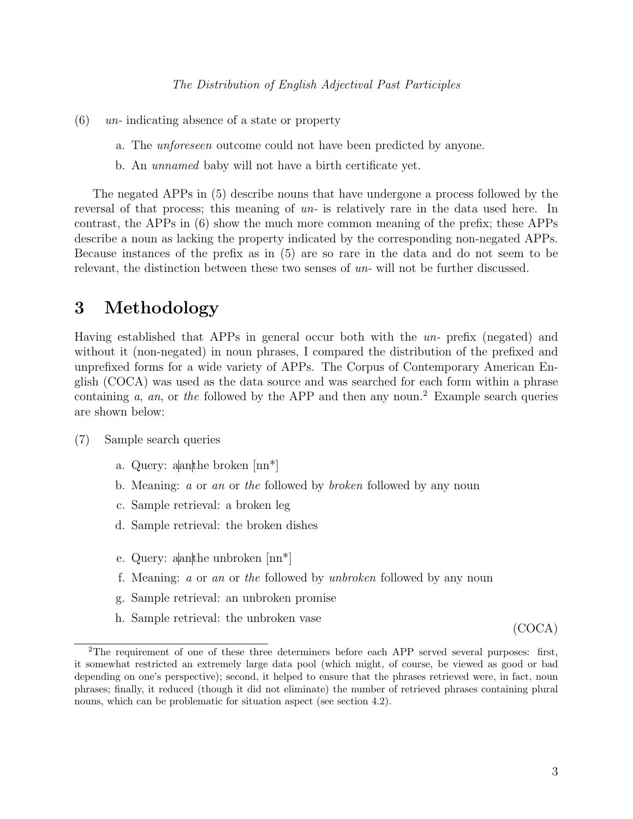- $(6)$  un-indicating absence of a state or property
	- a. The unforeseen outcome could not have been predicted by anyone.
	- b. An unnamed baby will not have a birth certificate yet.

The negated APPs in (5) describe nouns that have undergone a process followed by the reversal of that process; this meaning of un- is relatively rare in the data used here. In contrast, the APPs in (6) show the much more common meaning of the prefix; these APPs describe a noun as lacking the property indicated by the corresponding non-negated APPs. Because instances of the prefix as in (5) are so rare in the data and do not seem to be relevant, the distinction between these two senses of un- will not be further discussed.

## 3 Methodology

Having established that APPs in general occur both with the un- prefix (negated) and without it (non-negated) in noun phrases, I compared the distribution of the prefixed and unprefixed forms for a wide variety of APPs. The Corpus of Contemporary American English (COCA) was used as the data source and was searched for each form within a phrase containing  $a$ ,  $an$ , or the followed by the APP and then any noun.<sup>2</sup> Example search queries are shown below:

- (7) Sample search queries
	- a. Query: aanthe broken [nn\*]
	- b. Meaning: a or an or the followed by broken followed by any noun
	- c. Sample retrieval: a broken leg
	- d. Sample retrieval: the broken dishes
	- e. Query: aanthe unbroken [nn\*]
	- f. Meaning: a or an or the followed by unbroken followed by any noun
	- g. Sample retrieval: an unbroken promise
	- h. Sample retrieval: the unbroken vase

(COCA)

<sup>&</sup>lt;sup>2</sup>The requirement of one of these three determiners before each APP served several purposes: first, it somewhat restricted an extremely large data pool (which might, of course, be viewed as good or bad depending on one's perspective); second, it helped to ensure that the phrases retrieved were, in fact, noun phrases; finally, it reduced (though it did not eliminate) the number of retrieved phrases containing plural nouns, which can be problematic for situation aspect (see section 4.2).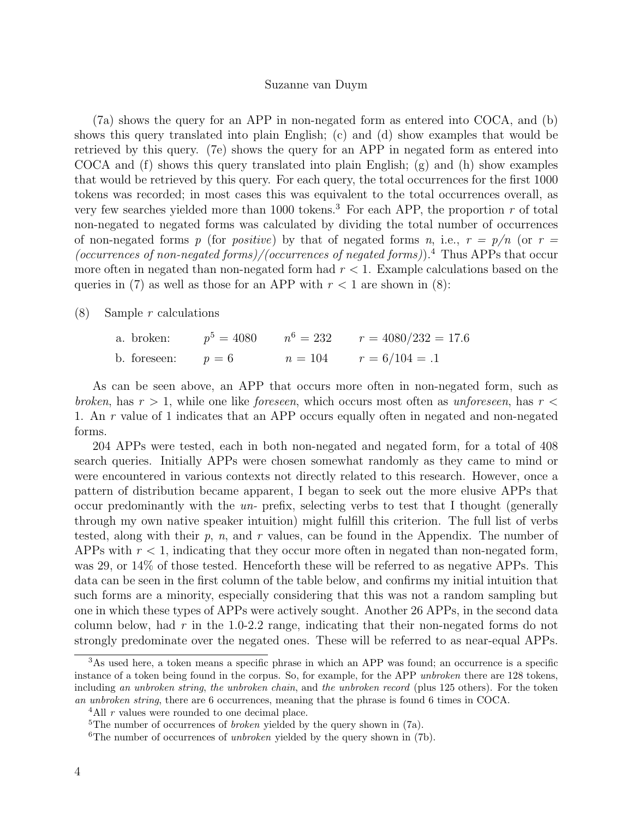(7a) shows the query for an APP in non-negated form as entered into COCA, and (b) shows this query translated into plain English; (c) and (d) show examples that would be retrieved by this query. (7e) shows the query for an APP in negated form as entered into COCA and (f) shows this query translated into plain English; (g) and (h) show examples that would be retrieved by this query. For each query, the total occurrences for the first 1000 tokens was recorded; in most cases this was equivalent to the total occurrences overall, as very few searches yielded more than 1000 tokens.<sup>3</sup> For each APP, the proportion r of total non-negated to negated forms was calculated by dividing the total number of occurrences of non-negated forms p (for positive) by that of negated forms n, i.e.,  $r = p/n$  (or  $r =$ (occurrences of non-negated forms)/(occurrences of negated forms)).<sup>4</sup> Thus APPs that occur more often in negated than non-negated form had  $r < 1$ . Example calculations based on the queries in (7) as well as those for an APP with  $r < 1$  are shown in (8):

 $(8)$  Sample r calculations

a. broken:  $5 = 4080$   $n^6 = 232$   $r = 4080/232 = 17.6$ b. foreseen:  $p = 6$   $n = 104$   $r = 6/104 = .1$ 

As can be seen above, an APP that occurs more often in non-negated form, such as broken, has  $r > 1$ , while one like foreseen, which occurs most often as unforeseen, has  $r <$ 1. An r value of 1 indicates that an APP occurs equally often in negated and non-negated forms.

204 APPs were tested, each in both non-negated and negated form, for a total of 408 search queries. Initially APPs were chosen somewhat randomly as they came to mind or were encountered in various contexts not directly related to this research. However, once a pattern of distribution became apparent, I began to seek out the more elusive APPs that occur predominantly with the un- prefix, selecting verbs to test that I thought (generally through my own native speaker intuition) might fulfill this criterion. The full list of verbs tested, along with their  $p$ ,  $n$ , and  $r$  values, can be found in the Appendix. The number of APPs with  $r < 1$ , indicating that they occur more often in negated than non-negated form, was 29, or 14% of those tested. Henceforth these will be referred to as negative APPs. This data can be seen in the first column of the table below, and confirms my initial intuition that such forms are a minority, especially considering that this was not a random sampling but one in which these types of APPs were actively sought. Another 26 APPs, in the second data column below, had  $r$  in the 1.0-2.2 range, indicating that their non-negated forms do not strongly predominate over the negated ones. These will be referred to as near-equal APPs.

 $3$ As used here, a token means a specific phrase in which an APP was found; an occurrence is a specific instance of a token being found in the corpus. So, for example, for the APP unbroken there are 128 tokens, including an unbroken string, the unbroken chain, and the unbroken record (plus 125 others). For the token an unbroken string, there are 6 occurrences, meaning that the phrase is found 6 times in COCA.

<sup>&</sup>lt;sup>4</sup>All  $r$  values were rounded to one decimal place.

<sup>&</sup>lt;sup>5</sup>The number of occurrences of *broken* yielded by the query shown in  $(7a)$ .

<sup>&</sup>lt;sup>6</sup>The number of occurrences of *unbroken* yielded by the query shown in  $(7b)$ .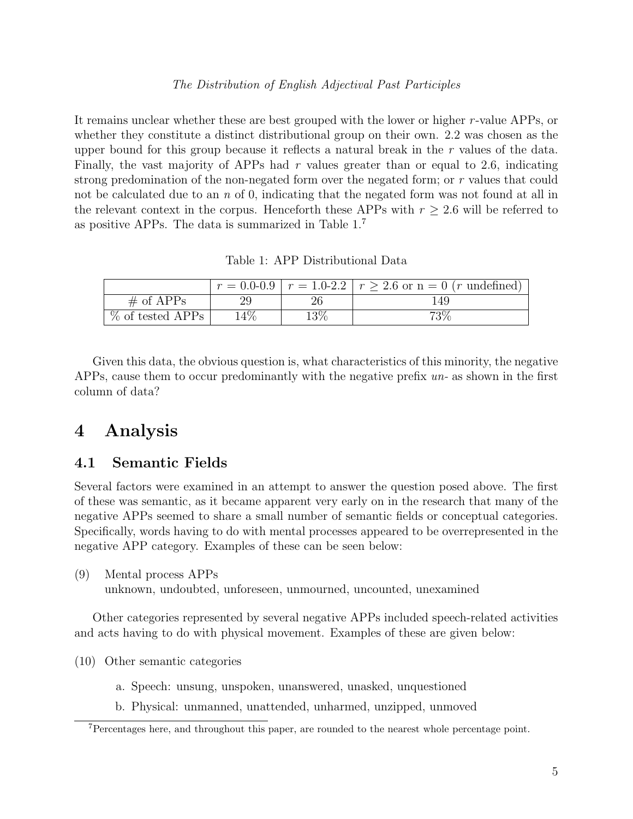It remains unclear whether these are best grouped with the lower or higher r-value APPs, or whether they constitute a distinct distributional group on their own. 2.2 was chosen as the upper bound for this group because it reflects a natural break in the r values of the data. Finally, the vast majority of APPs had  $r$  values greater than or equal to 2.6, indicating strong predomination of the non-negated form over the negated form; or r values that could not be calculated due to an  $n \in \{0, \text{ indicating that the negated form was not found at all in } \mathbb{R}$ the relevant context in the corpus. Henceforth these APPs with  $r \geq 2.6$  will be referred to as positive APPs. The data is summarized in Table 1.<sup>7</sup>

Table 1: APP Distributional Data

|                     |       |     | $r = 0.0 - 0.9$   $r = 1.0 - 2.2$   $r > 2.6$ or $n = 0$ ( <i>r</i> undefined) |
|---------------------|-------|-----|--------------------------------------------------------------------------------|
| $\#$ of APPs        |       |     | 149                                                                            |
| $\%$ of tested APPs | $4\%$ | 13% | $73\%$                                                                         |

Given this data, the obvious question is, what characteristics of this minority, the negative APPs, cause them to occur predominantly with the negative prefix un- as shown in the first column of data?

## 4 Analysis

### 4.1 Semantic Fields

Several factors were examined in an attempt to answer the question posed above. The first of these was semantic, as it became apparent very early on in the research that many of the negative APPs seemed to share a small number of semantic fields or conceptual categories. Specifically, words having to do with mental processes appeared to be overrepresented in the negative APP category. Examples of these can be seen below:

(9) Mental process APPs

unknown, undoubted, unforeseen, unmourned, uncounted, unexamined

Other categories represented by several negative APPs included speech-related activities and acts having to do with physical movement. Examples of these are given below:

(10) Other semantic categories

- a. Speech: unsung, unspoken, unanswered, unasked, unquestioned
- b. Physical: unmanned, unattended, unharmed, unzipped, unmoved

<sup>7</sup>Percentages here, and throughout this paper, are rounded to the nearest whole percentage point.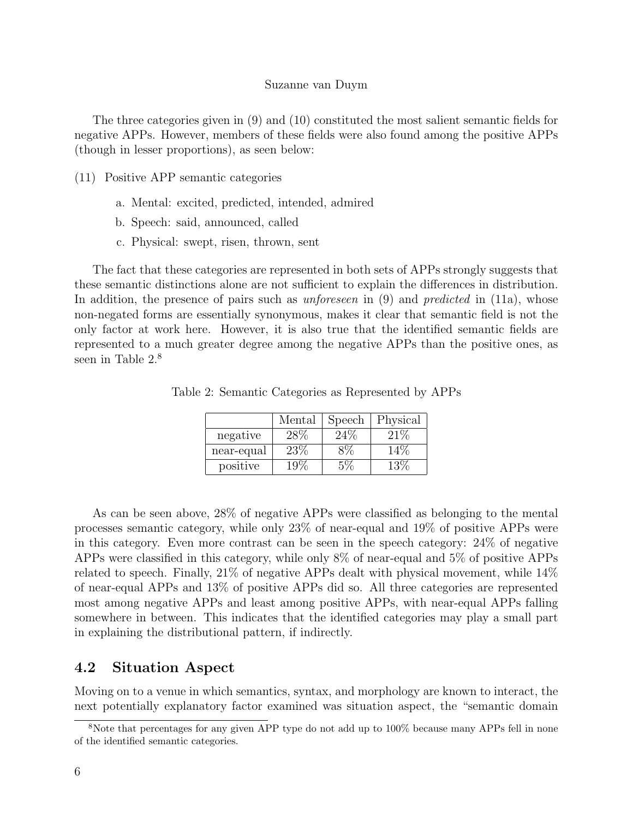The three categories given in (9) and (10) constituted the most salient semantic fields for negative APPs. However, members of these fields were also found among the positive APPs (though in lesser proportions), as seen below:

- (11) Positive APP semantic categories
	- a. Mental: excited, predicted, intended, admired
	- b. Speech: said, announced, called
	- c. Physical: swept, risen, thrown, sent

The fact that these categories are represented in both sets of APPs strongly suggests that these semantic distinctions alone are not sufficient to explain the differences in distribution. In addition, the presence of pairs such as *unforeseen* in (9) and *predicted* in (11a), whose non-negated forms are essentially synonymous, makes it clear that semantic field is not the only factor at work here. However, it is also true that the identified semantic fields are represented to a much greater degree among the negative APPs than the positive ones, as seen in Table  $2.8$ 

Table 2: Semantic Categories as Represented by APPs

|            | Mental | Speech | Physical |
|------------|--------|--------|----------|
| negative   | 28%    | 24%    | 21%      |
| near-equal | 23%    |        |          |
| positive   | 19%    |        | 1 2 V    |

As can be seen above, 28% of negative APPs were classified as belonging to the mental processes semantic category, while only 23% of near-equal and 19% of positive APPs were in this category. Even more contrast can be seen in the speech category: 24% of negative APPs were classified in this category, while only 8% of near-equal and 5% of positive APPs related to speech. Finally, 21% of negative APPs dealt with physical movement, while 14% of near-equal APPs and 13% of positive APPs did so. All three categories are represented most among negative APPs and least among positive APPs, with near-equal APPs falling somewhere in between. This indicates that the identified categories may play a small part in explaining the distributional pattern, if indirectly.

### 4.2 Situation Aspect

Moving on to a venue in which semantics, syntax, and morphology are known to interact, the next potentially explanatory factor examined was situation aspect, the "semantic domain

<sup>8</sup>Note that percentages for any given APP type do not add up to 100% because many APPs fell in none of the identified semantic categories.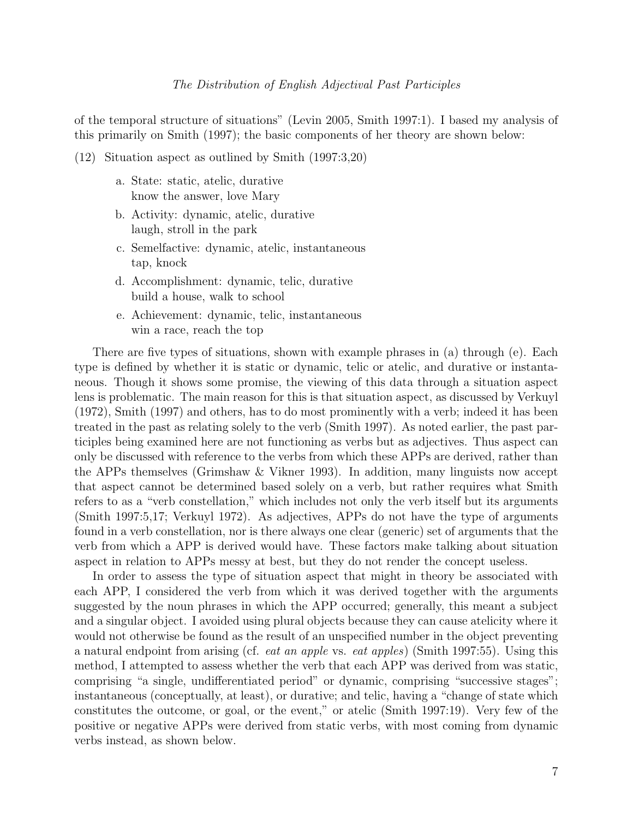of the temporal structure of situations" (Levin 2005, Smith 1997:1). I based my analysis of this primarily on Smith (1997); the basic components of her theory are shown below:

- (12) Situation aspect as outlined by Smith (1997:3,20)
	- a. State: static, atelic, durative know the answer, love Mary
	- b. Activity: dynamic, atelic, durative laugh, stroll in the park
	- c. Semelfactive: dynamic, atelic, instantaneous tap, knock
	- d. Accomplishment: dynamic, telic, durative build a house, walk to school
	- e. Achievement: dynamic, telic, instantaneous win a race, reach the top

There are five types of situations, shown with example phrases in (a) through (e). Each type is defined by whether it is static or dynamic, telic or atelic, and durative or instantaneous. Though it shows some promise, the viewing of this data through a situation aspect lens is problematic. The main reason for this is that situation aspect, as discussed by Verkuyl (1972), Smith (1997) and others, has to do most prominently with a verb; indeed it has been treated in the past as relating solely to the verb (Smith 1997). As noted earlier, the past participles being examined here are not functioning as verbs but as adjectives. Thus aspect can only be discussed with reference to the verbs from which these APPs are derived, rather than the APPs themselves (Grimshaw & Vikner 1993). In addition, many linguists now accept that aspect cannot be determined based solely on a verb, but rather requires what Smith refers to as a "verb constellation," which includes not only the verb itself but its arguments (Smith 1997:5,17; Verkuyl 1972). As adjectives, APPs do not have the type of arguments found in a verb constellation, nor is there always one clear (generic) set of arguments that the verb from which a APP is derived would have. These factors make talking about situation aspect in relation to APPs messy at best, but they do not render the concept useless.

In order to assess the type of situation aspect that might in theory be associated with each APP, I considered the verb from which it was derived together with the arguments suggested by the noun phrases in which the APP occurred; generally, this meant a subject and a singular object. I avoided using plural objects because they can cause atelicity where it would not otherwise be found as the result of an unspecified number in the object preventing a natural endpoint from arising (cf. eat an apple vs. eat apples) (Smith 1997:55). Using this method, I attempted to assess whether the verb that each APP was derived from was static, comprising "a single, undifferentiated period" or dynamic, comprising "successive stages"; instantaneous (conceptually, at least), or durative; and telic, having a "change of state which constitutes the outcome, or goal, or the event," or atelic (Smith 1997:19). Very few of the positive or negative APPs were derived from static verbs, with most coming from dynamic verbs instead, as shown below.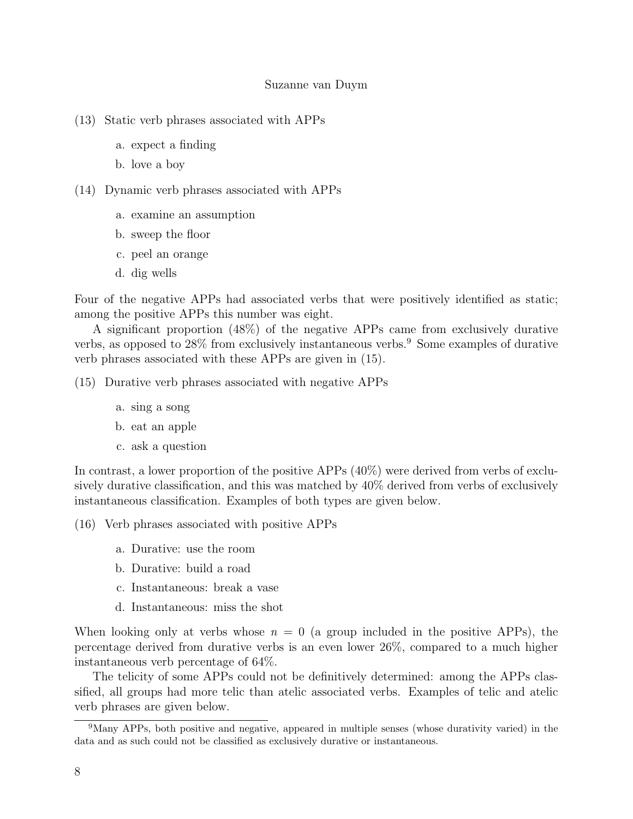- (13) Static verb phrases associated with APPs
	- a. expect a finding
	- b. love a boy
- (14) Dynamic verb phrases associated with APPs
	- a. examine an assumption
	- b. sweep the floor
	- c. peel an orange
	- d. dig wells

Four of the negative APPs had associated verbs that were positively identified as static; among the positive APPs this number was eight.

A significant proportion (48%) of the negative APPs came from exclusively durative verbs, as opposed to  $28\%$  from exclusively instantaneous verbs.<sup>9</sup> Some examples of durative verb phrases associated with these APPs are given in (15).

(15) Durative verb phrases associated with negative APPs

- a. sing a song
- b. eat an apple
- c. ask a question

In contrast, a lower proportion of the positive APPs (40%) were derived from verbs of exclusively durative classification, and this was matched by 40% derived from verbs of exclusively instantaneous classification. Examples of both types are given below.

- (16) Verb phrases associated with positive APPs
	- a. Durative: use the room
	- b. Durative: build a road
	- c. Instantaneous: break a vase
	- d. Instantaneous: miss the shot

When looking only at verbs whose  $n = 0$  (a group included in the positive APPs), the percentage derived from durative verbs is an even lower 26%, compared to a much higher instantaneous verb percentage of 64%.

The telicity of some APPs could not be definitively determined: among the APPs classified, all groups had more telic than atelic associated verbs. Examples of telic and atelic verb phrases are given below.

<sup>9</sup>Many APPs, both positive and negative, appeared in multiple senses (whose durativity varied) in the data and as such could not be classified as exclusively durative or instantaneous.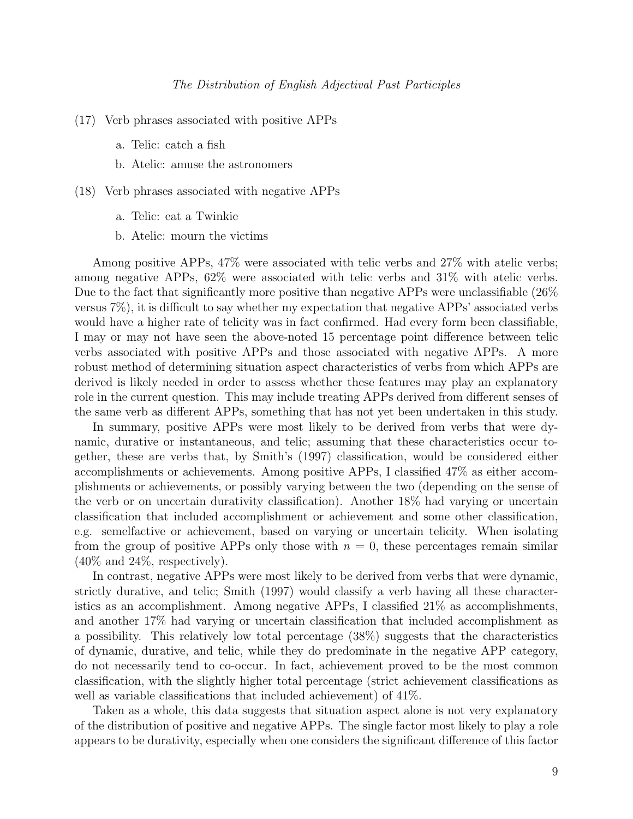- (17) Verb phrases associated with positive APPs
	- a. Telic: catch a fish
	- b. Atelic: amuse the astronomers
- (18) Verb phrases associated with negative APPs
	- a. Telic: eat a Twinkie
	- b. Atelic: mourn the victims

Among positive APPs, 47% were associated with telic verbs and 27% with atelic verbs; among negative APPs, 62% were associated with telic verbs and 31% with atelic verbs. Due to the fact that significantly more positive than negative APPs were unclassifiable (26% versus 7%), it is difficult to say whether my expectation that negative APPs' associated verbs would have a higher rate of telicity was in fact confirmed. Had every form been classifiable, I may or may not have seen the above-noted 15 percentage point difference between telic verbs associated with positive APPs and those associated with negative APPs. A more robust method of determining situation aspect characteristics of verbs from which APPs are derived is likely needed in order to assess whether these features may play an explanatory role in the current question. This may include treating APPs derived from different senses of the same verb as different APPs, something that has not yet been undertaken in this study.

In summary, positive APPs were most likely to be derived from verbs that were dynamic, durative or instantaneous, and telic; assuming that these characteristics occur together, these are verbs that, by Smith's (1997) classification, would be considered either accomplishments or achievements. Among positive APPs, I classified 47% as either accomplishments or achievements, or possibly varying between the two (depending on the sense of the verb or on uncertain durativity classification). Another 18% had varying or uncertain classification that included accomplishment or achievement and some other classification, e.g. semelfactive or achievement, based on varying or uncertain telicity. When isolating from the group of positive APPs only those with  $n = 0$ , these percentages remain similar  $(40\%$  and  $24\%$ , respectively).

In contrast, negative APPs were most likely to be derived from verbs that were dynamic, strictly durative, and telic; Smith (1997) would classify a verb having all these characteristics as an accomplishment. Among negative APPs, I classified 21% as accomplishments, and another 17% had varying or uncertain classification that included accomplishment as a possibility. This relatively low total percentage (38%) suggests that the characteristics of dynamic, durative, and telic, while they do predominate in the negative APP category, do not necessarily tend to co-occur. In fact, achievement proved to be the most common classification, with the slightly higher total percentage (strict achievement classifications as well as variable classifications that included achievement) of 41%.

Taken as a whole, this data suggests that situation aspect alone is not very explanatory of the distribution of positive and negative APPs. The single factor most likely to play a role appears to be durativity, especially when one considers the significant difference of this factor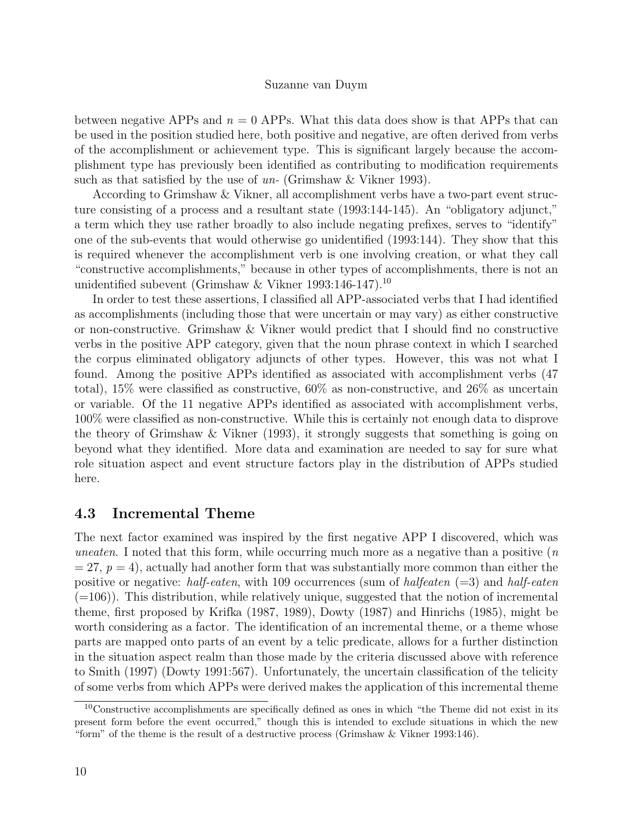between negative APPs and  $n = 0$  APPs. What this data does show is that APPs that can be used in the position studied here, both positive and negative, are often derived from verbs of the accomplishment or achievement type. This is significant largely because the accomplishment type has previously been identified as contributing to modification requirements such as that satisfied by the use of  $un$ - (Grimshaw & Vikner 1993).

According to Grimshaw & Vikner, all accomplishment verbs have a two-part event structure consisting of a process and a resultant state (1993:144-145). An "obligatory adjunct," a term which they use rather broadly to also include negating prefixes, serves to "identify" one of the sub-events that would otherwise go unidentified (1993:144). They show that this is required whenever the accomplishment verb is one involving creation, or what they call "constructive accomplishments," because in other types of accomplishments, there is not an unidentified subevent (Grimshaw & Vikner 1993:146-147).<sup>10</sup>

In order to test these assertions, I classified all APP-associated verbs that I had identified as accomplishments (including those that were uncertain or may vary) as either constructive or non-constructive. Grimshaw & Vikner would predict that I should find no constructive verbs in the positive APP category, given that the noun phrase context in which I searched the corpus eliminated obligatory adjuncts of other types. However, this was not what I found. Among the positive APPs identified as associated with accomplishment verbs (47 total), 15% were classified as constructive, 60% as non-constructive, and 26% as uncertain or variable. Of the 11 negative APPs identified as associated with accomplishment verbs, 100% were classified as non-constructive. While this is certainly not enough data to disprove the theory of Grimshaw & Vikner (1993), it strongly suggests that something is going on beyond what they identified. More data and examination are needed to say for sure what role situation aspect and event structure factors play in the distribution of APPs studied here.

### 4.3 Incremental Theme

The next factor examined was inspired by the first negative APP I discovered, which was uneaten. I noted that this form, while occurring much more as a negative than a positive  $(n)$  $= 27, p = 4$ , actually had another form that was substantially more common than either the positive or negative: half-eaten, with 109 occurrences (sum of halfeaten  $(=3)$  and half-eaten  $(=106)$ ). This distribution, while relatively unique, suggested that the notion of incremental theme, first proposed by Krifka (1987, 1989), Dowty (1987) and Hinrichs (1985), might be worth considering as a factor. The identification of an incremental theme, or a theme whose parts are mapped onto parts of an event by a telic predicate, allows for a further distinction in the situation aspect realm than those made by the criteria discussed above with reference to Smith (1997) (Dowty 1991:567). Unfortunately, the uncertain classification of the telicity of some verbs from which APPs were derived makes the application of this incremental theme

<sup>10</sup>Constructive accomplishments are specifically defined as ones in which "the Theme did not exist in its present form before the event occurred," though this is intended to exclude situations in which the new "form" of the theme is the result of a destructive process (Grimshaw & Vikner 1993:146).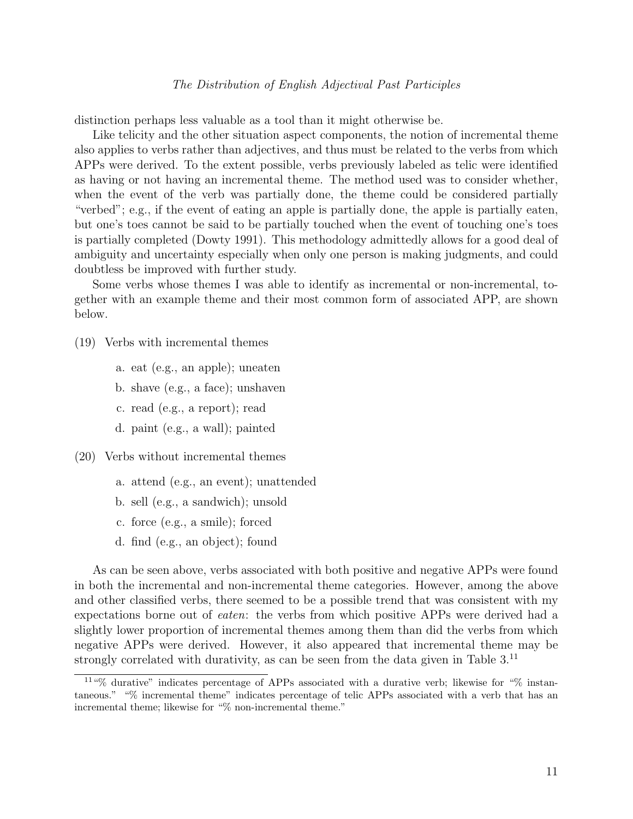distinction perhaps less valuable as a tool than it might otherwise be.

Like telicity and the other situation aspect components, the notion of incremental theme also applies to verbs rather than adjectives, and thus must be related to the verbs from which APPs were derived. To the extent possible, verbs previously labeled as telic were identified as having or not having an incremental theme. The method used was to consider whether, when the event of the verb was partially done, the theme could be considered partially "verbed"; e.g., if the event of eating an apple is partially done, the apple is partially eaten, but one's toes cannot be said to be partially touched when the event of touching one's toes is partially completed (Dowty 1991). This methodology admittedly allows for a good deal of ambiguity and uncertainty especially when only one person is making judgments, and could doubtless be improved with further study.

Some verbs whose themes I was able to identify as incremental or non-incremental, together with an example theme and their most common form of associated APP, are shown below.

- (19) Verbs with incremental themes
	- a. eat (e.g., an apple); uneaten
	- b. shave (e.g., a face); unshaven
	- c. read (e.g., a report); read
	- d. paint (e.g., a wall); painted
- (20) Verbs without incremental themes
	- a. attend (e.g., an event); unattended
	- b. sell (e.g., a sandwich); unsold
	- c. force (e.g., a smile); forced
	- d. find (e.g., an object); found

As can be seen above, verbs associated with both positive and negative APPs were found in both the incremental and non-incremental theme categories. However, among the above and other classified verbs, there seemed to be a possible trend that was consistent with my expectations borne out of eaten: the verbs from which positive APPs were derived had a slightly lower proportion of incremental themes among them than did the verbs from which negative APPs were derived. However, it also appeared that incremental theme may be strongly correlated with durativity, as can be seen from the data given in Table 3.<sup>11</sup>

<sup>11</sup>"% durative" indicates percentage of APPs associated with a durative verb; likewise for "% instantaneous." "% incremental theme" indicates percentage of telic APPs associated with a verb that has an incremental theme; likewise for "% non-incremental theme."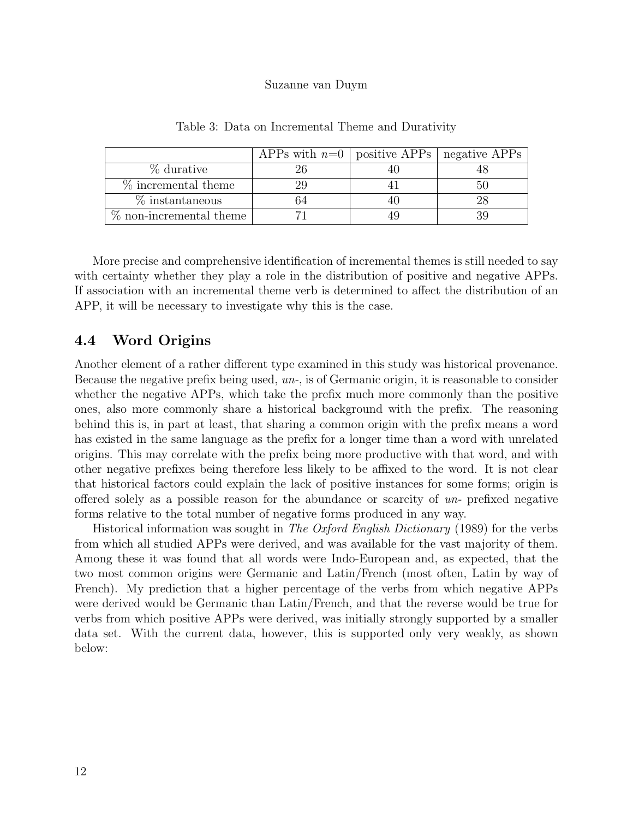|                           | APPs with $n=0$   positive APPs   negative APPs |  |
|---------------------------|-------------------------------------------------|--|
| % durative                |                                                 |  |
| $%$ incremental theme     | 29                                              |  |
| $\%$ instantaneous        |                                                 |  |
| $%$ non-incremental theme |                                                 |  |

Table 3: Data on Incremental Theme and Durativity

More precise and comprehensive identification of incremental themes is still needed to say with certainty whether they play a role in the distribution of positive and negative APPs. If association with an incremental theme verb is determined to affect the distribution of an APP, it will be necessary to investigate why this is the case.

### 4.4 Word Origins

Another element of a rather different type examined in this study was historical provenance. Because the negative prefix being used, un-, is of Germanic origin, it is reasonable to consider whether the negative APPs, which take the prefix much more commonly than the positive ones, also more commonly share a historical background with the prefix. The reasoning behind this is, in part at least, that sharing a common origin with the prefix means a word has existed in the same language as the prefix for a longer time than a word with unrelated origins. This may correlate with the prefix being more productive with that word, and with other negative prefixes being therefore less likely to be affixed to the word. It is not clear that historical factors could explain the lack of positive instances for some forms; origin is offered solely as a possible reason for the abundance or scarcity of un- prefixed negative forms relative to the total number of negative forms produced in any way.

Historical information was sought in The Oxford English Dictionary (1989) for the verbs from which all studied APPs were derived, and was available for the vast majority of them. Among these it was found that all words were Indo-European and, as expected, that the two most common origins were Germanic and Latin/French (most often, Latin by way of French). My prediction that a higher percentage of the verbs from which negative APPs were derived would be Germanic than Latin/French, and that the reverse would be true for verbs from which positive APPs were derived, was initially strongly supported by a smaller data set. With the current data, however, this is supported only very weakly, as shown below: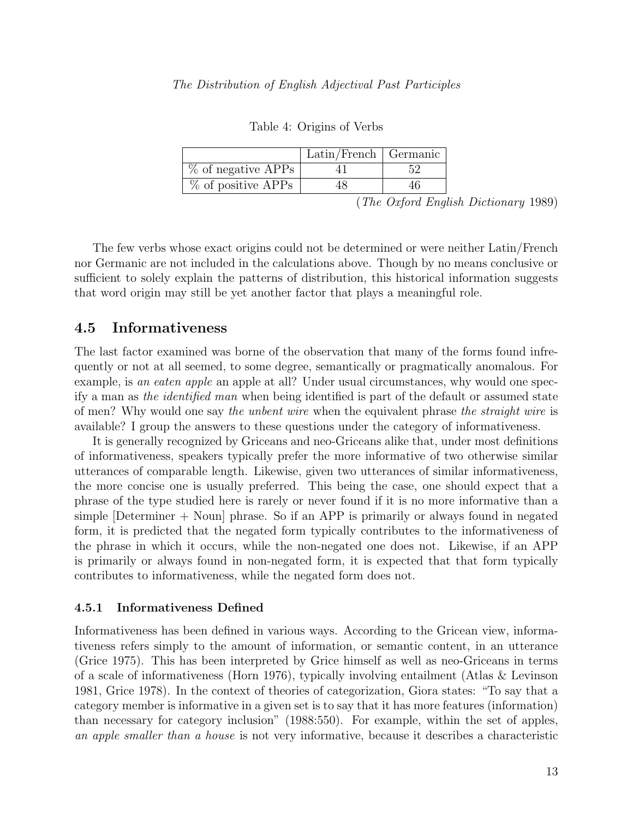|                      | $Latin/French$ Germanic |  |
|----------------------|-------------------------|--|
| $%$ of negative APPs |                         |  |
| $%$ of positive APPs |                         |  |

Table 4: Origins of Verbs

(The Oxford English Dictionary 1989)

The few verbs whose exact origins could not be determined or were neither Latin/French nor Germanic are not included in the calculations above. Though by no means conclusive or sufficient to solely explain the patterns of distribution, this historical information suggests that word origin may still be yet another factor that plays a meaningful role.

### 4.5 Informativeness

The last factor examined was borne of the observation that many of the forms found infrequently or not at all seemed, to some degree, semantically or pragmatically anomalous. For example, is an eaten apple an apple at all? Under usual circumstances, why would one specify a man as the identified man when being identified is part of the default or assumed state of men? Why would one say the unbent wire when the equivalent phrase the straight wire is available? I group the answers to these questions under the category of informativeness.

It is generally recognized by Griceans and neo-Griceans alike that, under most definitions of informativeness, speakers typically prefer the more informative of two otherwise similar utterances of comparable length. Likewise, given two utterances of similar informativeness, the more concise one is usually preferred. This being the case, one should expect that a phrase of the type studied here is rarely or never found if it is no more informative than a simple  $[Determine + Noun]$  phrase. So if an APP is primarily or always found in negated form, it is predicted that the negated form typically contributes to the informativeness of the phrase in which it occurs, while the non-negated one does not. Likewise, if an APP is primarily or always found in non-negated form, it is expected that that form typically contributes to informativeness, while the negated form does not.

#### 4.5.1 Informativeness Defined

Informativeness has been defined in various ways. According to the Gricean view, informativeness refers simply to the amount of information, or semantic content, in an utterance (Grice 1975). This has been interpreted by Grice himself as well as neo-Griceans in terms of a scale of informativeness (Horn 1976), typically involving entailment (Atlas & Levinson 1981, Grice 1978). In the context of theories of categorization, Giora states: "To say that a category member is informative in a given set is to say that it has more features (information) than necessary for category inclusion" (1988:550). For example, within the set of apples, an apple smaller than a house is not very informative, because it describes a characteristic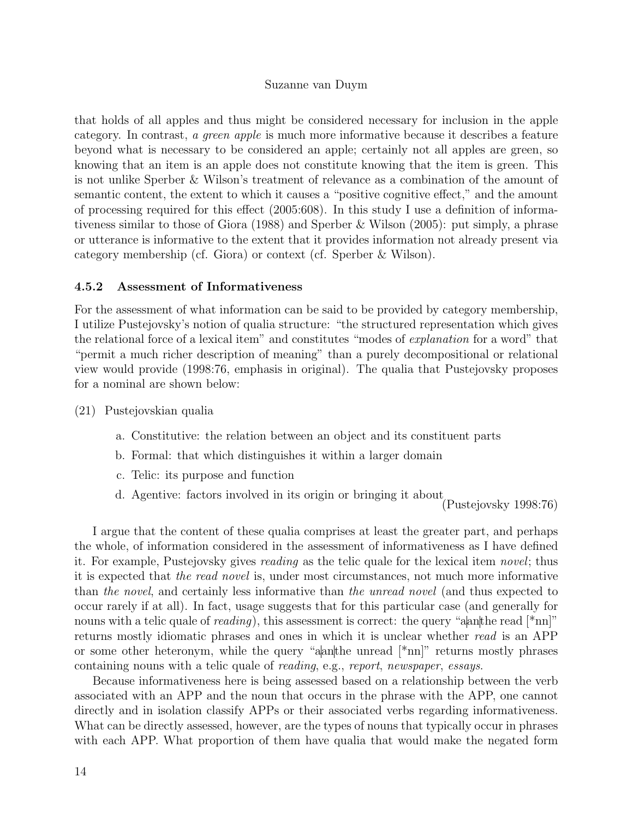that holds of all apples and thus might be considered necessary for inclusion in the apple category. In contrast, a green apple is much more informative because it describes a feature beyond what is necessary to be considered an apple; certainly not all apples are green, so knowing that an item is an apple does not constitute knowing that the item is green. This is not unlike Sperber & Wilson's treatment of relevance as a combination of the amount of semantic content, the extent to which it causes a "positive cognitive effect," and the amount of processing required for this effect (2005:608). In this study I use a definition of informativeness similar to those of Giora (1988) and Sperber & Wilson (2005): put simply, a phrase or utterance is informative to the extent that it provides information not already present via category membership (cf. Giora) or context (cf. Sperber & Wilson).

#### 4.5.2 Assessment of Informativeness

For the assessment of what information can be said to be provided by category membership, I utilize Pustejovsky's notion of qualia structure: "the structured representation which gives the relational force of a lexical item" and constitutes "modes of *explanation* for a word" that "permit a much richer description of meaning" than a purely decompositional or relational view would provide (1998:76, emphasis in original). The qualia that Pustejovsky proposes for a nominal are shown below:

(21) Pustejovskian qualia

- a. Constitutive: the relation between an object and its constituent parts
- b. Formal: that which distinguishes it within a larger domain
- c. Telic: its purpose and function
- d. Agentive: factors involved in its origin or bringing it about

(Pustejovsky 1998:76)

I argue that the content of these qualia comprises at least the greater part, and perhaps the whole, of information considered in the assessment of informativeness as I have defined it. For example, Pustejovsky gives reading as the telic quale for the lexical item novel; thus it is expected that the read novel is, under most circumstances, not much more informative than the novel, and certainly less informative than the unread novel (and thus expected to occur rarely if at all). In fact, usage suggests that for this particular case (and generally for nouns with a telic quale of reading), this assessment is correct: the query "aanthe read  $\lceil \nmid \text{nn} \rceil$ " returns mostly idiomatic phrases and ones in which it is unclear whether read is an APP or some other heteronym, while the query "aanthe unread [\*nn]" returns mostly phrases containing nouns with a telic quale of reading, e.g., report, newspaper, essays.

Because informativeness here is being assessed based on a relationship between the verb associated with an APP and the noun that occurs in the phrase with the APP, one cannot directly and in isolation classify APPs or their associated verbs regarding informativeness. What can be directly assessed, however, are the types of nouns that typically occur in phrases with each APP. What proportion of them have qualia that would make the negated form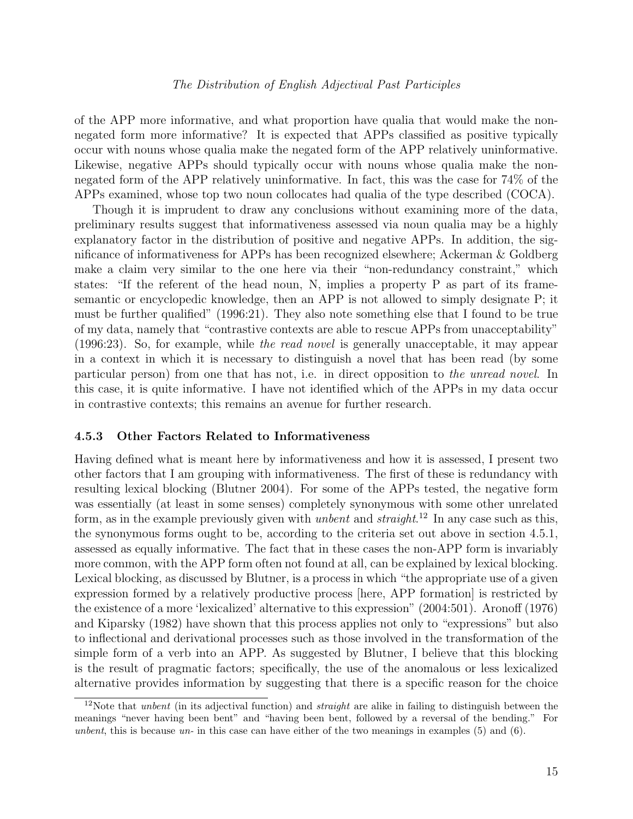of the APP more informative, and what proportion have qualia that would make the nonnegated form more informative? It is expected that APPs classified as positive typically occur with nouns whose qualia make the negated form of the APP relatively uninformative. Likewise, negative APPs should typically occur with nouns whose qualia make the nonnegated form of the APP relatively uninformative. In fact, this was the case for 74% of the APPs examined, whose top two noun collocates had qualia of the type described (COCA).

Though it is imprudent to draw any conclusions without examining more of the data, preliminary results suggest that informativeness assessed via noun qualia may be a highly explanatory factor in the distribution of positive and negative APPs. In addition, the significance of informativeness for APPs has been recognized elsewhere; Ackerman & Goldberg make a claim very similar to the one here via their "non-redundancy constraint," which states: "If the referent of the head noun, N, implies a property P as part of its framesemantic or encyclopedic knowledge, then an APP is not allowed to simply designate P; it must be further qualified" (1996:21). They also note something else that I found to be true of my data, namely that "contrastive contexts are able to rescue APPs from unacceptability" (1996:23). So, for example, while the read novel is generally unacceptable, it may appear in a context in which it is necessary to distinguish a novel that has been read (by some particular person) from one that has not, i.e. in direct opposition to the unread novel. In this case, it is quite informative. I have not identified which of the APPs in my data occur in contrastive contexts; this remains an avenue for further research.

#### 4.5.3 Other Factors Related to Informativeness

Having defined what is meant here by informativeness and how it is assessed, I present two other factors that I am grouping with informativeness. The first of these is redundancy with resulting lexical blocking (Blutner 2004). For some of the APPs tested, the negative form was essentially (at least in some senses) completely synonymous with some other unrelated form, as in the example previously given with *unbent* and *straight*.<sup>12</sup> In any case such as this, the synonymous forms ought to be, according to the criteria set out above in section 4.5.1, assessed as equally informative. The fact that in these cases the non-APP form is invariably more common, with the APP form often not found at all, can be explained by lexical blocking. Lexical blocking, as discussed by Blutner, is a process in which "the appropriate use of a given expression formed by a relatively productive process [here, APP formation] is restricted by the existence of a more 'lexicalized' alternative to this expression" (2004:501). Aronoff (1976) and Kiparsky (1982) have shown that this process applies not only to "expressions" but also to inflectional and derivational processes such as those involved in the transformation of the simple form of a verb into an APP. As suggested by Blutner, I believe that this blocking is the result of pragmatic factors; specifically, the use of the anomalous or less lexicalized alternative provides information by suggesting that there is a specific reason for the choice

<sup>&</sup>lt;sup>12</sup>Note that *unbent* (in its adjectival function) and *straight* are alike in failing to distinguish between the meanings "never having been bent" and "having been bent, followed by a reversal of the bending." For unbent, this is because un- in this case can have either of the two meanings in examples  $(5)$  and  $(6)$ .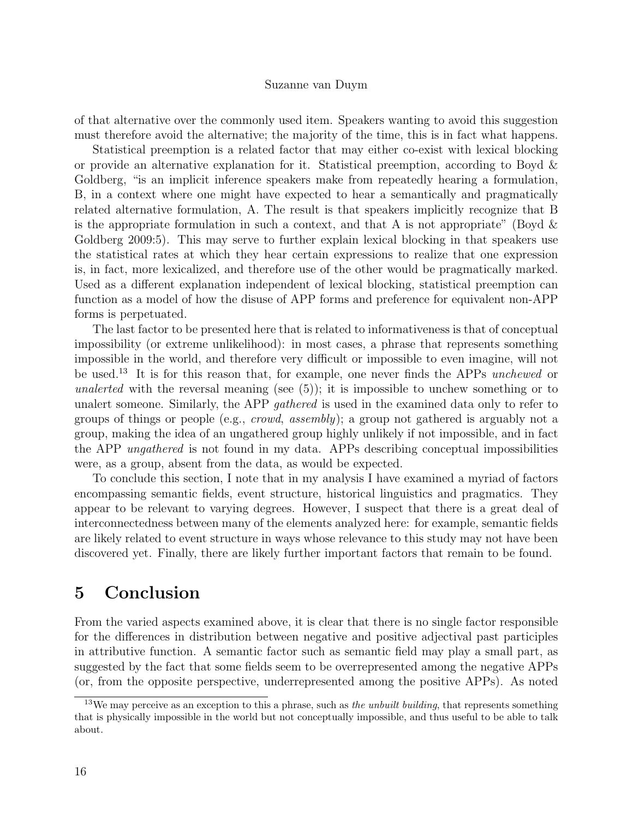of that alternative over the commonly used item. Speakers wanting to avoid this suggestion must therefore avoid the alternative; the majority of the time, this is in fact what happens.

Statistical preemption is a related factor that may either co-exist with lexical blocking or provide an alternative explanation for it. Statistical preemption, according to Boyd & Goldberg, "is an implicit inference speakers make from repeatedly hearing a formulation, B, in a context where one might have expected to hear a semantically and pragmatically related alternative formulation, A. The result is that speakers implicitly recognize that B is the appropriate formulation in such a context, and that A is not appropriate" (Boyd  $\&$ Goldberg 2009:5). This may serve to further explain lexical blocking in that speakers use the statistical rates at which they hear certain expressions to realize that one expression is, in fact, more lexicalized, and therefore use of the other would be pragmatically marked. Used as a different explanation independent of lexical blocking, statistical preemption can function as a model of how the disuse of APP forms and preference for equivalent non-APP forms is perpetuated.

The last factor to be presented here that is related to informativeness is that of conceptual impossibility (or extreme unlikelihood): in most cases, a phrase that represents something impossible in the world, and therefore very difficult or impossible to even imagine, will not be used.<sup>13</sup> It is for this reason that, for example, one never finds the APPs unchewed or unalerted with the reversal meaning (see  $(5)$ ); it is impossible to unchew something or to unalert someone. Similarly, the APP *gathered* is used in the examined data only to refer to groups of things or people (e.g., crowd, assembly); a group not gathered is arguably not a group, making the idea of an ungathered group highly unlikely if not impossible, and in fact the APP ungathered is not found in my data. APPs describing conceptual impossibilities were, as a group, absent from the data, as would be expected.

To conclude this section, I note that in my analysis I have examined a myriad of factors encompassing semantic fields, event structure, historical linguistics and pragmatics. They appear to be relevant to varying degrees. However, I suspect that there is a great deal of interconnectedness between many of the elements analyzed here: for example, semantic fields are likely related to event structure in ways whose relevance to this study may not have been discovered yet. Finally, there are likely further important factors that remain to be found.

## 5 Conclusion

From the varied aspects examined above, it is clear that there is no single factor responsible for the differences in distribution between negative and positive adjectival past participles in attributive function. A semantic factor such as semantic field may play a small part, as suggested by the fact that some fields seem to be overrepresented among the negative APPs (or, from the opposite perspective, underrepresented among the positive APPs). As noted

<sup>&</sup>lt;sup>13</sup>We may perceive as an exception to this a phrase, such as the unbuilt building, that represents something that is physically impossible in the world but not conceptually impossible, and thus useful to be able to talk about.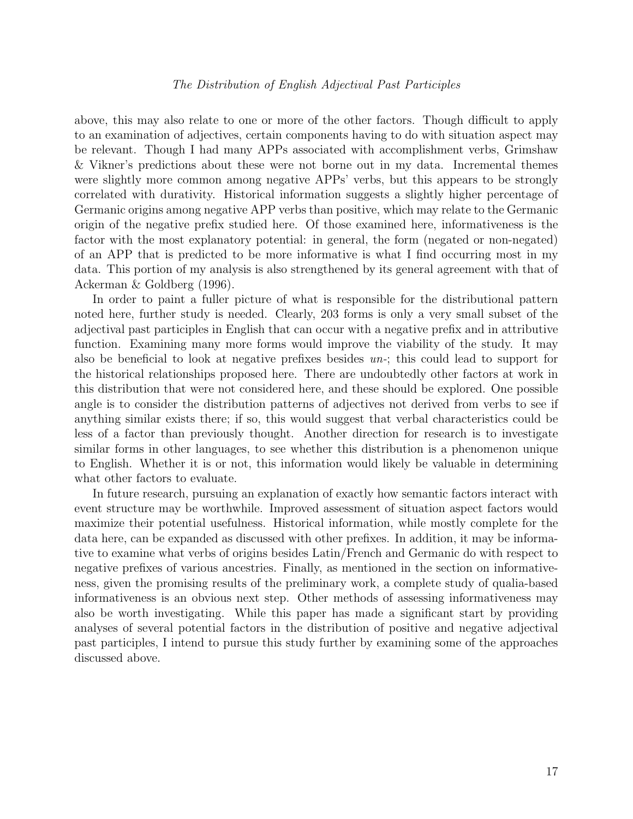above, this may also relate to one or more of the other factors. Though difficult to apply to an examination of adjectives, certain components having to do with situation aspect may be relevant. Though I had many APPs associated with accomplishment verbs, Grimshaw & Vikner's predictions about these were not borne out in my data. Incremental themes were slightly more common among negative APPs' verbs, but this appears to be strongly correlated with durativity. Historical information suggests a slightly higher percentage of Germanic origins among negative APP verbs than positive, which may relate to the Germanic origin of the negative prefix studied here. Of those examined here, informativeness is the factor with the most explanatory potential: in general, the form (negated or non-negated) of an APP that is predicted to be more informative is what I find occurring most in my data. This portion of my analysis is also strengthened by its general agreement with that of Ackerman & Goldberg (1996).

In order to paint a fuller picture of what is responsible for the distributional pattern noted here, further study is needed. Clearly, 203 forms is only a very small subset of the adjectival past participles in English that can occur with a negative prefix and in attributive function. Examining many more forms would improve the viability of the study. It may also be beneficial to look at negative prefixes besides un-; this could lead to support for the historical relationships proposed here. There are undoubtedly other factors at work in this distribution that were not considered here, and these should be explored. One possible angle is to consider the distribution patterns of adjectives not derived from verbs to see if anything similar exists there; if so, this would suggest that verbal characteristics could be less of a factor than previously thought. Another direction for research is to investigate similar forms in other languages, to see whether this distribution is a phenomenon unique to English. Whether it is or not, this information would likely be valuable in determining what other factors to evaluate.

In future research, pursuing an explanation of exactly how semantic factors interact with event structure may be worthwhile. Improved assessment of situation aspect factors would maximize their potential usefulness. Historical information, while mostly complete for the data here, can be expanded as discussed with other prefixes. In addition, it may be informative to examine what verbs of origins besides Latin/French and Germanic do with respect to negative prefixes of various ancestries. Finally, as mentioned in the section on informativeness, given the promising results of the preliminary work, a complete study of qualia-based informativeness is an obvious next step. Other methods of assessing informativeness may also be worth investigating. While this paper has made a significant start by providing analyses of several potential factors in the distribution of positive and negative adjectival past participles, I intend to pursue this study further by examining some of the approaches discussed above.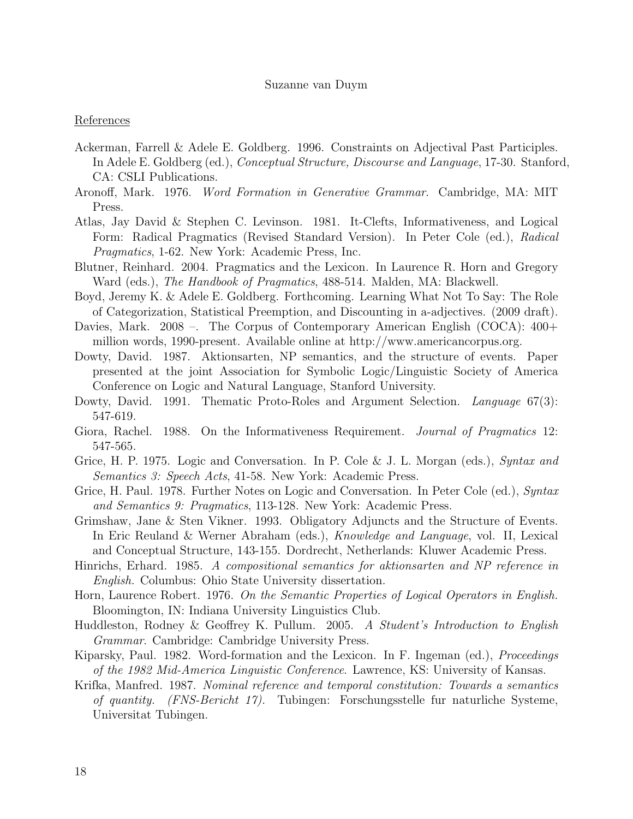#### References

- Ackerman, Farrell & Adele E. Goldberg. 1996. Constraints on Adjectival Past Participles. In Adele E. Goldberg (ed.), Conceptual Structure, Discourse and Language, 17-30. Stanford, CA: CSLI Publications.
- Aronoff, Mark. 1976. Word Formation in Generative Grammar. Cambridge, MA: MIT Press.
- Atlas, Jay David & Stephen C. Levinson. 1981. It-Clefts, Informativeness, and Logical Form: Radical Pragmatics (Revised Standard Version). In Peter Cole (ed.), Radical Pragmatics, 1-62. New York: Academic Press, Inc.
- Blutner, Reinhard. 2004. Pragmatics and the Lexicon. In Laurence R. Horn and Gregory Ward (eds.), *The Handbook of Pragmatics*, 488-514. Malden, MA: Blackwell.
- Boyd, Jeremy K. & Adele E. Goldberg. Forthcoming. Learning What Not To Say: The Role of Categorization, Statistical Preemption, and Discounting in a-adjectives. (2009 draft).
- Davies, Mark. 2008 –. The Corpus of Contemporary American English (COCA): 400+ million words, 1990-present. Available online at http://www.americancorpus.org.
- Dowty, David. 1987. Aktionsarten, NP semantics, and the structure of events. Paper presented at the joint Association for Symbolic Logic/Linguistic Society of America Conference on Logic and Natural Language, Stanford University.
- Dowty, David. 1991. Thematic Proto-Roles and Argument Selection. Language 67(3): 547-619.
- Giora, Rachel. 1988. On the Informativeness Requirement. *Journal of Pragmatics* 12: 547-565.
- Grice, H. P. 1975. Logic and Conversation. In P. Cole & J. L. Morgan (eds.), Syntax and Semantics 3: Speech Acts, 41-58. New York: Academic Press.
- Grice, H. Paul. 1978. Further Notes on Logic and Conversation. In Peter Cole (ed.), Syntax and Semantics 9: Pragmatics, 113-128. New York: Academic Press.
- Grimshaw, Jane & Sten Vikner. 1993. Obligatory Adjuncts and the Structure of Events. In Eric Reuland & Werner Abraham (eds.), Knowledge and Language, vol. II, Lexical and Conceptual Structure, 143-155. Dordrecht, Netherlands: Kluwer Academic Press.
- Hinrichs, Erhard. 1985. A compositional semantics for aktionsarten and NP reference in English. Columbus: Ohio State University dissertation.
- Horn, Laurence Robert. 1976. On the Semantic Properties of Logical Operators in English. Bloomington, IN: Indiana University Linguistics Club.
- Huddleston, Rodney & Geoffrey K. Pullum. 2005. A Student's Introduction to English Grammar. Cambridge: Cambridge University Press.
- Kiparsky, Paul. 1982. Word-formation and the Lexicon. In F. Ingeman (ed.), *Proceedings* of the 1982 Mid-America Linguistic Conference. Lawrence, KS: University of Kansas.
- Krifka, Manfred. 1987. Nominal reference and temporal constitution: Towards a semantics of quantity. (FNS-Bericht 17). Tubingen: Forschungsstelle fur naturliche Systeme, Universitat Tubingen.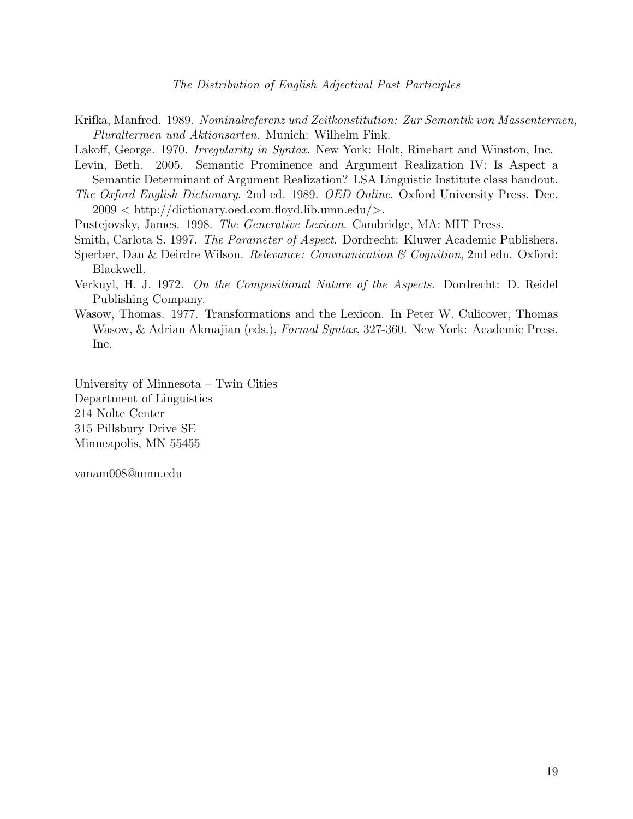- Krifka, Manfred. 1989. Nominalreferenz und Zeitkonstitution: Zur Semantik von Massentermen, Pluraltermen und Aktionsarten. Munich: Wilhelm Fink.
- Lakoff, George. 1970. Irregularity in Syntax. New York: Holt, Rinehart and Winston, Inc.
- Levin, Beth. 2005. Semantic Prominence and Argument Realization IV: Is Aspect a Semantic Determinant of Argument Realization? LSA Linguistic Institute class handout.
- The Oxford English Dictionary. 2nd ed. 1989. OED Online. Oxford University Press. Dec. 2009 < http://dictionary.oed.com.floyd.lib.umn.edu/>.
- Pustejovsky, James. 1998. The Generative Lexicon. Cambridge, MA: MIT Press.
- Smith, Carlota S. 1997. The Parameter of Aspect. Dordrecht: Kluwer Academic Publishers.
- Sperber, Dan & Deirdre Wilson. Relevance: Communication & Cognition, 2nd edn. Oxford: Blackwell.
- Verkuyl, H. J. 1972. On the Compositional Nature of the Aspects. Dordrecht: D. Reidel Publishing Company.
- Wasow, Thomas. 1977. Transformations and the Lexicon. In Peter W. Culicover, Thomas Wasow, & Adrian Akmajian (eds.), Formal Syntax, 327-360. New York: Academic Press, Inc.

University of Minnesota – Twin Cities Department of Linguistics 214 Nolte Center 315 Pillsbury Drive SE Minneapolis, MN 55455

vanam008@umn.edu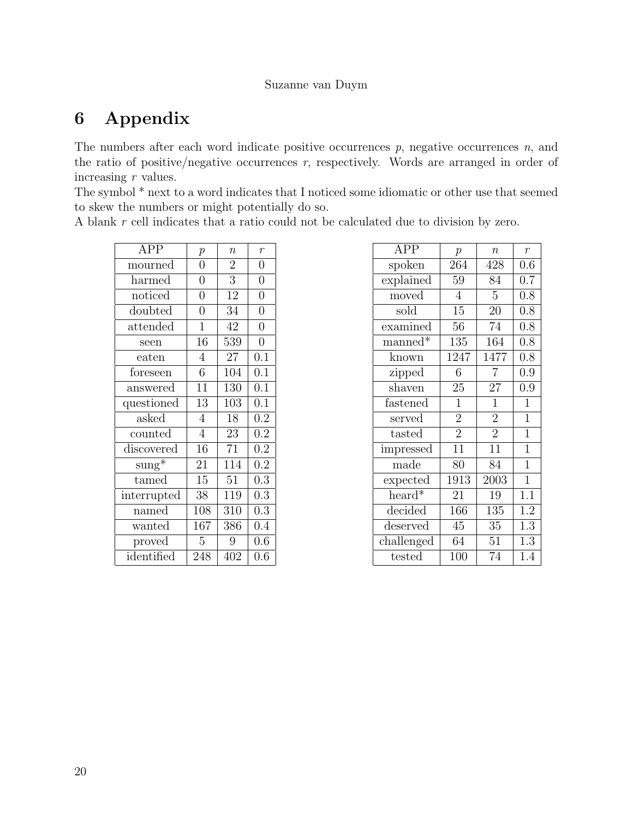# 6 Appendix

The numbers after each word indicate positive occurrences  $p$ , negative occurrences  $n$ , and the ratio of positive/negative occurrences  $r$ , respectively. Words are arranged in order of increasing r values.

The symbol \* next to a word indicates that I noticed some idiomatic or other use that seemed to skew the numbers or might potentially do so.

A blank r cell indicates that a ratio could not be calculated due to division by zero.

| <b>APP</b>      | $\boldsymbol{p}$ | $\overline{n}$ | $\overline{r}$ |
|-----------------|------------------|----------------|----------------|
| mourned         | $\overline{0}$   | $\overline{2}$ | 0              |
| harmed          | $\overline{0}$   | 3              | $\overline{0}$ |
| noticed         | $\overline{0}$   | 12             | $\overline{0}$ |
| doubted         | $\overline{0}$   | 34             | $\overline{0}$ |
| attended        | $\mathbf{1}$     | 42             | 0              |
| seen            | 16               | 539            | $\overline{0}$ |
| eaten           | 4                | 27             | 0.1            |
| foreseen        | 6                | 104            | 0.1            |
| answered        | $\overline{11}$  | 130            | 0.1            |
| questioned      | 13               | 103            | 0.1            |
| asked           | 4                | 18             | 0.2            |
| counted         | 4                | 23             | 0.2            |
| discovered      | 16               | 71             | 0.2            |
| $\text{sumg}^*$ | 21               | 114            | 0.2            |
| tamed           | 15               | 51             | 0.3            |
| interrupted     | 38               | 119            | 0.3            |
| named           | 108              | 310            | 0.3            |
| wanted          | 167              | 386            | 0.4            |
| proved          | 5                | 9              | 0.6            |
| identified      | 248              | 402            | 0.6            |

| <b>APP</b> | $\mathfrak p$  | $\boldsymbol{n}$ | $\mathcal{r}$  |
|------------|----------------|------------------|----------------|
| spoken     | 264            | 428              | 0.6            |
| explained  | 59             | 84               | 0.7            |
| moved      | $\overline{4}$ | 5                | 0.8            |
| sold       | 15             | 20               | 0.8            |
| examined   | 56             | 74               | 0.8            |
| $m$ anned* | 135            | 164              | 0.8            |
| known      | 1247           | 1477             | 0.8            |
| zipped     | 6              | $\overline{7}$   | 0.9            |
| shaven     | 25             | 27               | 0.9            |
| fastened   | $\mathbf{1}$   | $\mathbf 1$      | $\mathbf 1$    |
| served     | $\overline{2}$ | $\overline{2}$   | $\overline{1}$ |
| tasted     | $\overline{2}$ | $\overline{2}$   | 1              |
| impressed  | 11             | 11               | $\overline{1}$ |
| made       | 80             | 84               | $\mathbf 1$    |
| expected   | 1913           | 2003             | 1              |
| heard*     | 21             | 19               | 1.1            |
| decided    | 166            | 135              | 1.2            |
| deserved   | 45             | 35               | 1.3            |
| challenged | 64             | 51               | 1.3            |
| tested     | 100            | 74               | 1.4            |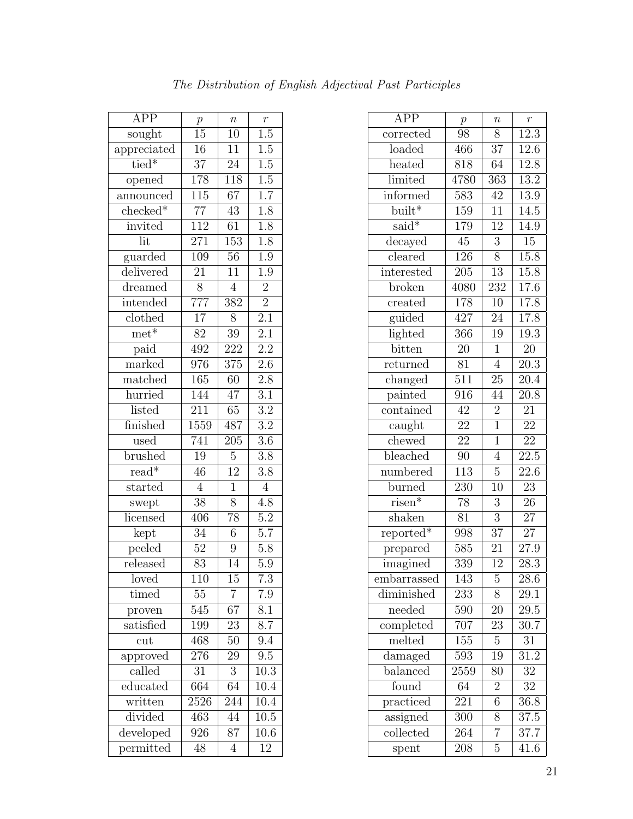| <b>APP</b>                 | $\,p\,$          | $\boldsymbol{n}$ | $\overline{r}$   |
|----------------------------|------------------|------------------|------------------|
| sought                     | 15               | $\overline{1}0$  | $\overline{1.5}$ |
| appreciated                | $\overline{16}$  | $\overline{11}$  | 1.5              |
| $tied*$                    | $\overline{37}$  | $\overline{24}$  | $\overline{1.5}$ |
| opened                     | 178              | $\overline{118}$ | $\overline{1.5}$ |
| announced                  | 115              | 67               | $\overline{1.7}$ |
| $checked*$                 | $\overline{77}$  | 43               | $\overline{1.8}$ |
| invited                    | 112              | $\overline{61}$  | $\overline{1.8}$ |
| lit                        | 271              | 153              | 1.8              |
| guarded                    | 109              | $\overline{56}$  | $\overline{1.9}$ |
| delivered                  | 21               | $\overline{11}$  | $\overline{1.9}$ |
| dreamed                    | $\overline{8}$   | $\overline{4}$   | $\overline{2}$   |
| intended                   | $\overline{777}$ | 382              | $\overline{2}$   |
| clothed                    | $\overline{17}$  | 8                | $\overline{2.1}$ |
| $m$ et <sup>*</sup>        | 82               | $\overline{39}$  | $2.\overline{1}$ |
| paid                       | 492              | 222              | $\overline{2.2}$ |
| $\overline{\text{marked}}$ | 976              | 375              | 2.6              |
| matched                    | 165              | 60               | 2.8              |
| hurried                    | 144              | 47               | $\overline{3.1}$ |
| listed                     | $\overline{211}$ | $\overline{65}$  | $\overline{3.2}$ |
| finished                   | 1559             | 487              | $\overline{3.2}$ |
| used                       | 741              | $\overline{205}$ | $\overline{3.6}$ |
| brushed                    | 19               | $\overline{5}$   | $\overline{3.8}$ |
| $\overline{\text{read*}}$  | $\overline{46}$  | $\overline{12}$  | $\overline{3.8}$ |
| started                    | $\overline{4}$   | $\mathbf{1}$     | $\overline{4}$   |
| swept                      | $\overline{38}$  | 8                | 4.8              |
| licensed                   | 406              | $\overline{78}$  | $\overline{5.2}$ |
| kept                       | 34               | $\sqrt{6}$       | $5.\overline{7}$ |
| peeled                     | $\overline{52}$  | $\overline{9}$   | $\overline{5.8}$ |
| released                   | $\overline{83}$  | 14               | 5.9              |
| loved                      | 110              | $\overline{15}$  | $\overline{7.3}$ |
| timed                      | $55\,$           | 7                | 7.9              |
| proven                     | 545              | 67               | $\overline{8.1}$ |
| satisfied                  | 199              | 23               | $\overline{8.7}$ |
| cut                        | 468              | 50               | 9.4              |
| approved                   | $27\overline{6}$ | 29               | 9.5              |
| called                     | 31               | 3                | 10.3             |
| educated                   | 664              | 64               | 10.4             |
| written                    | 2526             | 244              | 10.4             |
| divided                    | 463              | 44               | 10.5             |
| developed                  | 926              | $\overline{87}$  | 10.6             |
| permitted                  | 48               | 4                | 12               |
|                            |                  |                  |                  |

| <b>APP</b>                   | $\,p\,$          | $\boldsymbol{n}$ | $\boldsymbol{r}$  |
|------------------------------|------------------|------------------|-------------------|
| corrected                    | $\overline{9}8$  | 8                | $\overline{12.3}$ |
| loaded                       | 466              | $\overline{37}$  | 12.6              |
| heated                       | 818              | 64               | 12.8              |
| limited                      | 4780             | $\overline{363}$ | $\overline{13.2}$ |
| informed                     | 583              | 42               | 13.9              |
| $\overline{\text{built}}^*$  | $1\overline{59}$ | $\overline{11}$  | 14.5              |
| $\overline{\text{said}}^*$   | 179              | 12               | 14.9              |
| decayed                      | $\overline{45}$  | $\overline{3}$   | $\overline{15}$   |
| $\overline{\text{clean}}$    | 126              | $\overline{8}$   | 15.8              |
| interested                   | 205              | 13               | 15.8              |
| broken                       | 4080             | $\overline{232}$ | 17.6              |
| created                      | 178              | 10               | 17.8              |
| guided                       | 427              | 24               | 17.8              |
| lighted                      | 366              | 19               | 19.3              |
| bitten                       | 20               | $\mathbf{1}$     | 20                |
| returned                     | $\overline{81}$  | $\overline{4}$   | $\overline{20.3}$ |
| changed                      | $\overline{511}$ | $2\overline{5}$  | $\overline{20.4}$ |
| painted                      | $9\overline{16}$ | 44               | 20.8              |
| contained                    | 42               | $\overline{2}$   | 21                |
| caught                       | $\overline{22}$  | $\overline{1}$   | $\overline{22}$   |
| chewed                       | $\overline{22}$  | $\overline{1}$   | $\overline{22}$   |
| bleached                     | 90               | $\overline{4}$   | 22.5              |
| numbered                     | $\overline{113}$ | $\overline{5}$   | $\overline{22.6}$ |
| burned                       | 230              | $\overline{10}$  | 23                |
| $risen*$                     | $\overline{78}$  | $\overline{3}$   | 26                |
| shaken                       | $\overline{81}$  | $\overline{3}$   | 27                |
| $reported*$                  | 998              | $\overline{37}$  | $27\,$            |
| prepared                     | $\overline{585}$ | $\overline{21}$  | $\overline{27.9}$ |
| imagined                     | 339              | $\overline{12}$  | $\overline{28.3}$ |
| embarrassed                  | $\overline{143}$ | $\overline{5}$   | $\overline{28.6}$ |
| diminished                   | 233              | 8                | 29.1              |
| needed                       | 590              | 20               | 29.5              |
| $\overline{\text{complete}}$ | 707              | 23               | 30.7              |
| $\mathrm{melt}$ ed           | 155              | 5                | 31                |
| damaged                      | 593              | 19               | $3\overline{1.2}$ |
| balanced                     | 2559             | 80               | 32                |
| found                        | 64               | $\overline{2}$   | 32                |
| practiced                    | $\overline{221}$ | $\overline{6}$   | 36.8              |
| assigned                     | 300              | 8                | 37.5              |
| collected                    | 264              | $\overline{7}$   | 37.7              |
| spent                        | 208              | 5                | 41.6              |